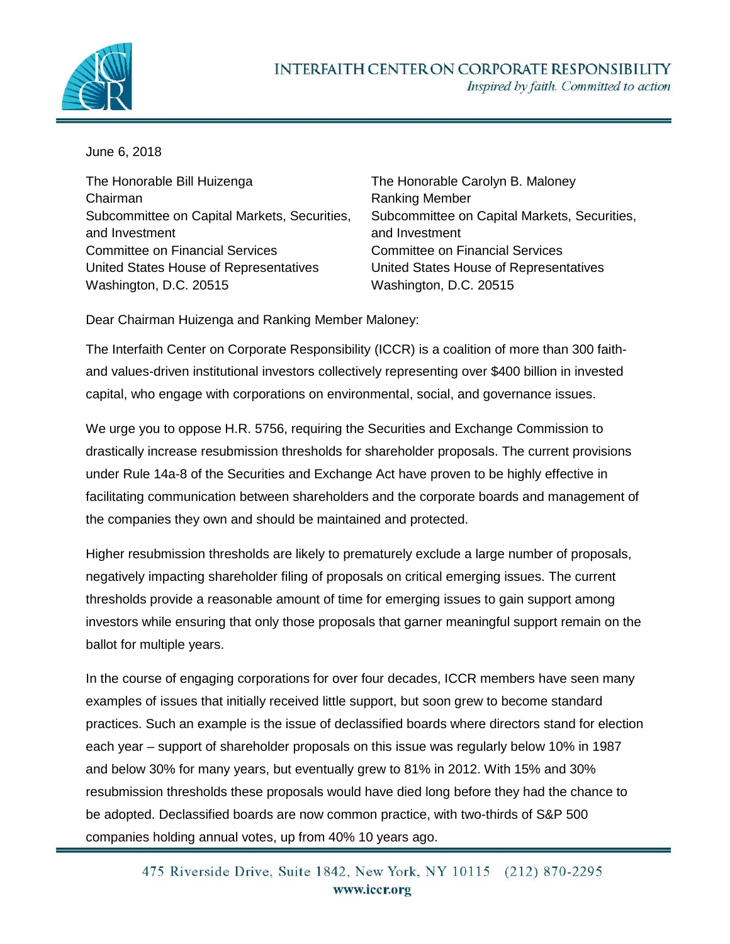

June 6, 2018

The Honorable Bill Huizenga Chairman Subcommittee on Capital Markets, Securities, and Investment Committee on Financial Services United States House of Representatives Washington, D.C. 20515

The Honorable Carolyn B. Maloney Ranking Member Subcommittee on Capital Markets, Securities, and Investment Committee on Financial Services United States House of Representatives Washington, D.C. 20515

Dear Chairman Huizenga and Ranking Member Maloney:

The Interfaith Center on Corporate Responsibility (ICCR) is a coalition of more than 300 faithand values-driven institutional investors collectively representing over \$400 billion in invested capital, who engage with corporations on environmental, social, and governance issues.

We urge you to oppose H.R. 5756, requiring the Securities and Exchange Commission to drastically increase resubmission thresholds for shareholder proposals. The current provisions under Rule 14a-8 of the Securities and Exchange Act have proven to be highly effective in facilitating communication between shareholders and the corporate boards and management of the companies they own and should be maintained and protected.

Higher resubmission thresholds are likely to prematurely exclude a large number of proposals, negatively impacting shareholder filing of proposals on critical emerging issues. The current thresholds provide a reasonable amount of time for emerging issues to gain support among investors while ensuring that only those proposals that garner meaningful support remain on the ballot for multiple years.

In the course of engaging corporations for over four decades, ICCR members have seen many examples of issues that initially received little support, but soon grew to become standard practices. Such an example is the issue of declassified boards where directors stand for election each year – support of shareholder proposals on this issue was regularly below 10% in 1987 and below 30% for many years, but eventually grew to 81% in 2012. With 15% and 30% resubmission thresholds these proposals would have died long before they had the chance to be adopted. Declassified boards are now common practice, with two-thirds of S&P 500 companies holding annual votes, up from 40% 10 years ago.